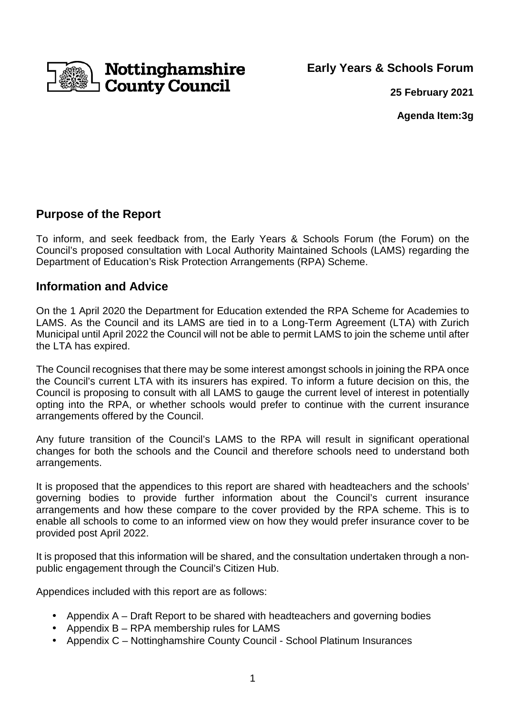

**Early Years & Schools Forum** 

**25 February 2021**

**Agenda Item:3g** 

## **Purpose of the Report**

To inform, and seek feedback from, the Early Years & Schools Forum (the Forum) on the Council's proposed consultation with Local Authority Maintained Schools (LAMS) regarding the Department of Education's Risk Protection Arrangements (RPA) Scheme.

### **Information and Advice**

On the 1 April 2020 the Department for Education extended the RPA Scheme for Academies to LAMS. As the Council and its LAMS are tied in to a Long-Term Agreement (LTA) with Zurich Municipal until April 2022 the Council will not be able to permit LAMS to join the scheme until after the LTA has expired.

The Council recognises that there may be some interest amongst schools in joining the RPA once the Council's current LTA with its insurers has expired. To inform a future decision on this, the Council is proposing to consult with all LAMS to gauge the current level of interest in potentially opting into the RPA, or whether schools would prefer to continue with the current insurance arrangements offered by the Council.

Any future transition of the Council's LAMS to the RPA will result in significant operational changes for both the schools and the Council and therefore schools need to understand both arrangements.

It is proposed that the appendices to this report are shared with headteachers and the schools' governing bodies to provide further information about the Council's current insurance arrangements and how these compare to the cover provided by the RPA scheme. This is to enable all schools to come to an informed view on how they would prefer insurance cover to be provided post April 2022.

It is proposed that this information will be shared, and the consultation undertaken through a nonpublic engagement through the Council's Citizen Hub.

Appendices included with this report are as follows:

- Appendix A Draft Report to be shared with headteachers and governing bodies
- Appendix B RPA membership rules for LAMS
- Appendix C Nottinghamshire County Council School Platinum Insurances